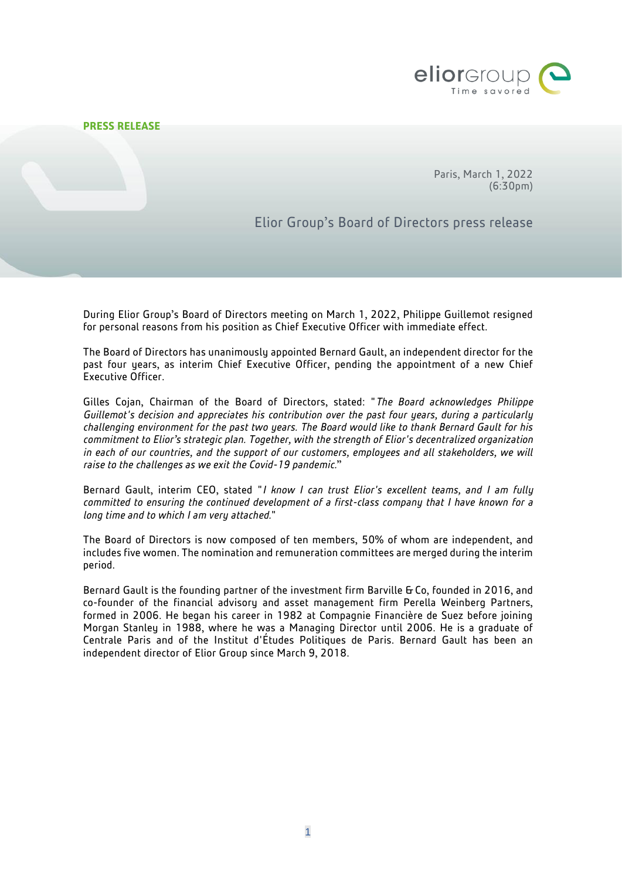

## **PRESS RELEASE**

Paris, March 1, 2022 (6:30pm)

Elior Group's Board of Directors press release

During Elior Group's Board of Directors meeting on March 1, 2022, Philippe Guillemot resigned for personal reasons from his position as Chief Executive Officer with immediate effect.

The Board of Directors has unanimously appointed Bernard Gault, an independent director for the past four years, as interim Chief Executive Officer, pending the appointment of a new Chief Executive Officer.

Gilles Cojan, Chairman of the Board of Directors, stated: "*The Board acknowledges Philippe Guillemot's decision and appreciates his contribution over the past four years, during a particularly challenging environment for the past two years. The Board would like to thank Bernard Gault for his commitment to Elior's strategic plan. Together, with the strength of Elior's decentralized organization in each of our countries, and the support of our customers, employees and all stakeholders, we will raise to the challenges as we exit the Covid-19 pandemic.*"

Bernard Gault, interim CEO, stated "*I know I can trust Elior's excellent teams, and I am fully committed to ensuring the continued development of a first-class company that I have known for a long time and to which I am very attached.*"

The Board of Directors is now composed of ten members, 50% of whom are independent, and includes five women. The nomination and remuneration committees are merged during the interim period.

Bernard Gault is the founding partner of the investment firm Barville & Co, founded in 2016, and co-founder of the financial advisory and asset management firm Perella Weinberg Partners, formed in 2006. He began his career in 1982 at Compagnie Financière de Suez before joining Morgan Stanley in 1988, where he was a Managing Director until 2006. He is a graduate of Centrale Paris and of the Institut d'Études Politiques de Paris. Bernard Gault has been an independent director of Elior Group since March 9, 2018.